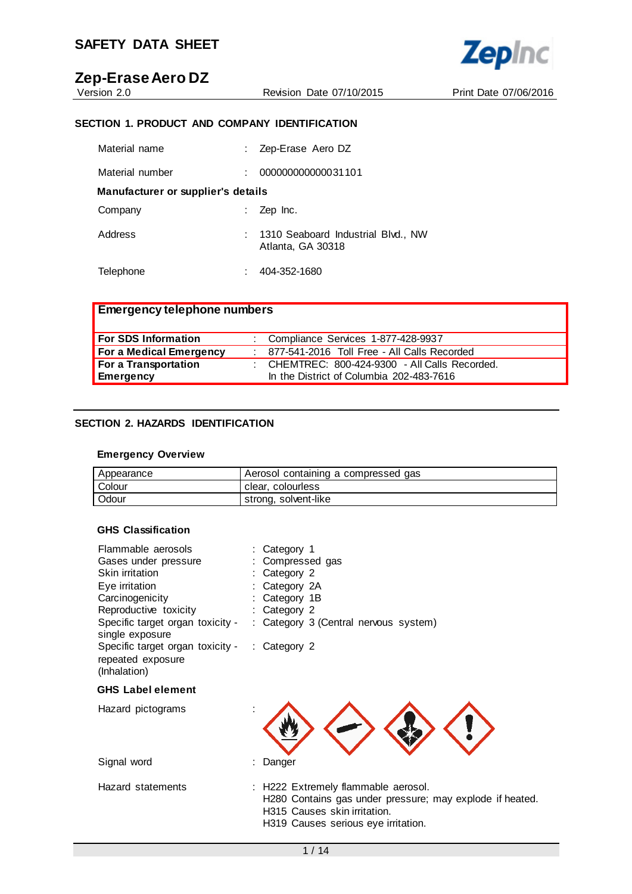Revision Date 07/10/2015 Print Date 07/06/2016

**Zepinc** 

## **SECTION 1. PRODUCT AND COMPANY IDENTIFICATION**

| Material name                      | Zep-Erase Aero DZ                                       |  |
|------------------------------------|---------------------------------------------------------|--|
| Material number                    | 000000000000031101                                      |  |
| Manufacturer or supplier's details |                                                         |  |
| Company                            | Zep Inc.                                                |  |
| Address                            | 1310 Seaboard Industrial Blvd., NW<br>Atlanta, GA 30318 |  |
| Telephone                          | 404-352-1680                                            |  |

| <b>Emergency telephone numbers</b> |                                                                                            |  |
|------------------------------------|--------------------------------------------------------------------------------------------|--|
| <b>For SDS Information</b>         | : Compliance Services 1-877-428-9937                                                       |  |
| For a Medical Emergency            | : 877-541-2016 Toll Free - All Calls Recorded                                              |  |
| For a Transportation<br>Emergency  | : CHEMTREC: 800-424-9300 - All Calls Recorded.<br>In the District of Columbia 202-483-7616 |  |

### **SECTION 2. HAZARDS IDENTIFICATION**

### **Emergency Overview**

| Appearance | Aerosol containing a compressed gas |
|------------|-------------------------------------|
| Colour     | clear, colourless                   |
| Odour      | strong, solvent-like                |

#### **GHS Classification**

| Flammable aerosols<br>Gases under pressure<br>Skin irritation<br>Eye irritation | : Category 1<br>Compressed gas<br>Category 2<br>Category 2A                                                                                                            |
|---------------------------------------------------------------------------------|------------------------------------------------------------------------------------------------------------------------------------------------------------------------|
| Carcinogenicity                                                                 | Category 1B                                                                                                                                                            |
| Reproductive toxicity                                                           | : Category 2                                                                                                                                                           |
| Specific target organ toxicity -<br>single exposure                             | : Category 3 (Central nervous system)                                                                                                                                  |
| Specific target organ toxicity -<br>repeated exposure<br>(Inhalation)           | : Category 2                                                                                                                                                           |
| <b>GHS Label element</b>                                                        |                                                                                                                                                                        |
| Hazard pictograms                                                               |                                                                                                                                                                        |
| Signal word                                                                     | Danger                                                                                                                                                                 |
| Hazard statements                                                               | : H222 Extremely flammable aerosol.<br>H280 Contains gas under pressure; may explode if heated.<br>H315 Causes skin irritation.<br>H319 Causes serious eye irritation. |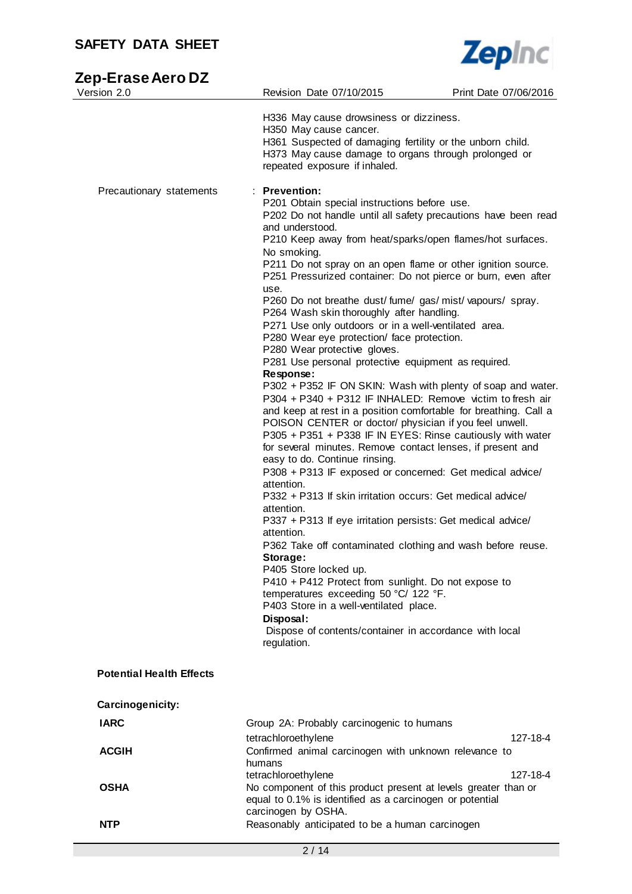

# **Zep-Erase Aero DZ**

| Version 2.0                     | Revision Date 07/10/2015                                                                                                                                                                                                                                                                                                                                                           | Print Date 07/06/2016 |
|---------------------------------|------------------------------------------------------------------------------------------------------------------------------------------------------------------------------------------------------------------------------------------------------------------------------------------------------------------------------------------------------------------------------------|-----------------------|
|                                 | H336 May cause drowsiness or dizziness.<br>H350 May cause cancer.                                                                                                                                                                                                                                                                                                                  |                       |
|                                 | H361 Suspected of damaging fertility or the unborn child.<br>H373 May cause damage to organs through prolonged or<br>repeated exposure if inhaled.                                                                                                                                                                                                                                 |                       |
| Precautionary statements        | : Prevention:<br>P201 Obtain special instructions before use.<br>P202 Do not handle until all safety precautions have been read                                                                                                                                                                                                                                                    |                       |
|                                 | and understood.<br>P210 Keep away from heat/sparks/open flames/hot surfaces.                                                                                                                                                                                                                                                                                                       |                       |
|                                 | No smoking.<br>P211 Do not spray on an open flame or other ignition source.<br>P251 Pressurized container: Do not pierce or burn, even after                                                                                                                                                                                                                                       |                       |
|                                 | use.<br>P260 Do not breathe dust/fume/gas/mist/vapours/spray.<br>P264 Wash skin thoroughly after handling.                                                                                                                                                                                                                                                                         |                       |
|                                 | P271 Use only outdoors or in a well-ventilated area.<br>P280 Wear eye protection/ face protection.<br>P280 Wear protective gloves.                                                                                                                                                                                                                                                 |                       |
|                                 | P281 Use personal protective equipment as required.<br>Response:                                                                                                                                                                                                                                                                                                                   |                       |
|                                 | P302 + P352 IF ON SKIN: Wash with plenty of soap and water.<br>P304 + P340 + P312 IF INHALED: Remove victim to fresh air<br>and keep at rest in a position comfortable for breathing. Call a<br>POISON CENTER or doctor/ physician if you feel unwell.<br>P305 + P351 + P338 IF IN EYES: Rinse cautiously with water<br>for several minutes. Remove contact lenses, if present and |                       |
|                                 | easy to do. Continue rinsing.<br>P308 + P313 IF exposed or concerned: Get medical advice/<br>attention.                                                                                                                                                                                                                                                                            |                       |
|                                 | P332 + P313 If skin irritation occurs: Get medical advice/<br>attention.                                                                                                                                                                                                                                                                                                           |                       |
|                                 | P337 + P313 If eye irritation persists: Get medical advice/<br>attention.<br>P362 Take off contaminated clothing and wash before reuse.                                                                                                                                                                                                                                            |                       |
|                                 | Storage:<br>P405 Store locked up.                                                                                                                                                                                                                                                                                                                                                  |                       |
|                                 | P410 + P412 Protect from sunlight. Do not expose to<br>temperatures exceeding 50 °C/ 122 °F.<br>P403 Store in a well-ventilated place.                                                                                                                                                                                                                                             |                       |
|                                 | Disposal:<br>Dispose of contents/container in accordance with local<br>regulation.                                                                                                                                                                                                                                                                                                 |                       |
| <b>Potential Health Effects</b> |                                                                                                                                                                                                                                                                                                                                                                                    |                       |
| Carcinogenicity:                |                                                                                                                                                                                                                                                                                                                                                                                    |                       |
| <b>IARC</b>                     | Group 2A: Probably carcinogenic to humans<br>tetrachloroethylene                                                                                                                                                                                                                                                                                                                   | 127-18-4              |
| <b>ACGIH</b>                    | Confirmed animal carcinogen with unknown relevance to<br>humans                                                                                                                                                                                                                                                                                                                    | 127-18-4              |
| <b>OSHA</b>                     | tetrachloroethylene<br>No component of this product present at levels greater than or<br>equal to 0.1% is identified as a carcinogen or potential                                                                                                                                                                                                                                  |                       |
| <b>NTP</b>                      | carcinogen by OSHA.<br>Reasonably anticipated to be a human carcinogen                                                                                                                                                                                                                                                                                                             |                       |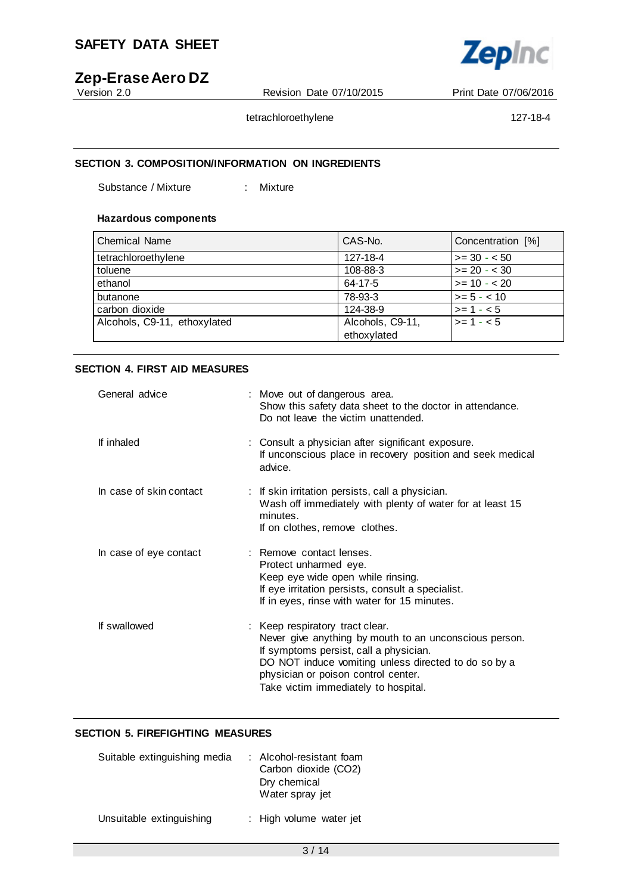

# **Zep-Erase Aero DZ**

Revision Date 07/10/2015 Print Date 07/06/2016

tetrachloroethylene 127-18-4

## **SECTION 3. COMPOSITION/INFORMATION ON INGREDIENTS**

Substance / Mixture : Mixture

### **Hazardous components**

| <b>Chemical Name</b>         | CAS-No.          | Concentration [%] |
|------------------------------|------------------|-------------------|
| tetrachloroethylene          | 127-18-4         | $>= 30 - 50$      |
| toluene                      | 108-88-3         | $>= 20 - 30$      |
| ethanol                      | 64-17-5          | $>= 10 - 20$      |
| butanone                     | 78-93-3          | $>= 5 - < 10$     |
| carbon dioxide               | 124-38-9         | $>= 1 - 5$        |
| Alcohols, C9-11, ethoxylated | Alcohols, C9-11, | $>= 1 - 5$        |
|                              | ethoxylated      |                   |

### **SECTION 4. FIRST AID MEASURES**

| General advice          | : Move out of dangerous area.<br>Show this safety data sheet to the doctor in attendance.<br>Do not leave the victim unattended.                                                                                                                                           |
|-------------------------|----------------------------------------------------------------------------------------------------------------------------------------------------------------------------------------------------------------------------------------------------------------------------|
| If inhaled              | : Consult a physician after significant exposure.<br>If unconscious place in recovery position and seek medical<br>advice.                                                                                                                                                 |
| In case of skin contact | : If skin irritation persists, call a physician.<br>Wash off immediately with plenty of water for at least 15<br>minutes.<br>If on clothes, remove clothes.                                                                                                                |
| In case of eye contact  | : Remove contact lenses.<br>Protect unharmed eye.<br>Keep eye wide open while rinsing.<br>If eye irritation persists, consult a specialist.<br>If in eyes, rinse with water for 15 minutes.                                                                                |
| If swallowed            | : Keep respiratory tract clear.<br>Never give anything by mouth to an unconscious person.<br>If symptoms persist, call a physician.<br>DO NOT induce vomiting unless directed to do so by a<br>physician or poison control center.<br>Take victim immediately to hospital. |

#### **SECTION 5. FIREFIGHTING MEASURES**

| Suitable extinguishing media | : Alcohol-resistant foam<br>Carbon dioxide (CO2)<br>Dry chemical<br>Water spray jet |
|------------------------------|-------------------------------------------------------------------------------------|
| Unsuitable extinguishing     | : High volume water jet                                                             |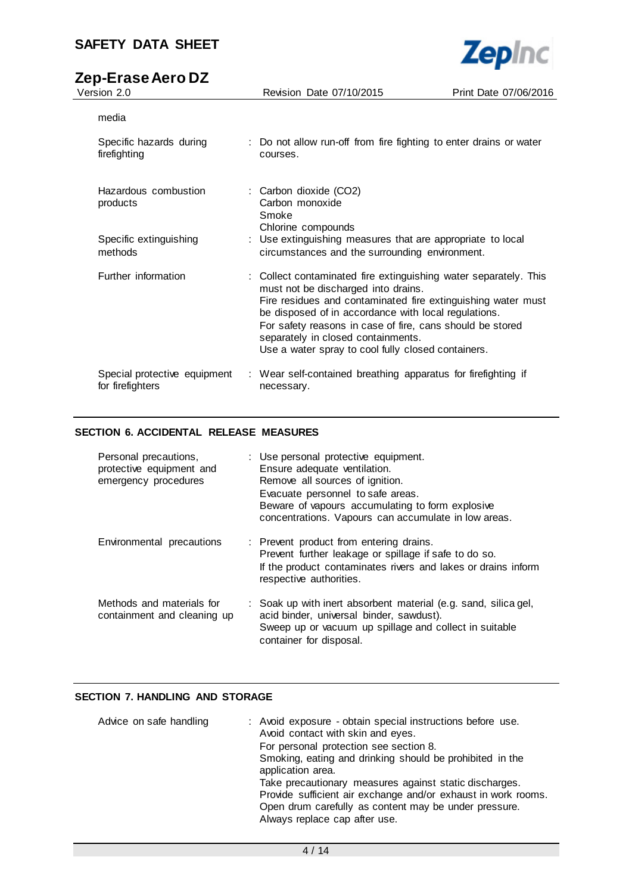# **Zep-Erase Aero DZ**

**Zepinc** 

| media                                            |                                                                                                                                                                                                                                                                                                                                                                                          |
|--------------------------------------------------|------------------------------------------------------------------------------------------------------------------------------------------------------------------------------------------------------------------------------------------------------------------------------------------------------------------------------------------------------------------------------------------|
| Specific hazards during<br>firefighting          | : Do not allow run-off from fire fighting to enter drains or water<br>courses.                                                                                                                                                                                                                                                                                                           |
| Hazardous combustion<br>products                 | : Carbon dioxide (CO2)<br>Carbon monoxide<br>Smoke<br>Chlorine compounds                                                                                                                                                                                                                                                                                                                 |
| Specific extinguishing<br>methods                | : Use extinguishing measures that are appropriate to local<br>circumstances and the surrounding environment.                                                                                                                                                                                                                                                                             |
| Further information                              | : Collect contaminated fire extinguishing water separately. This<br>must not be discharged into drains.<br>Fire residues and contaminated fire extinguishing water must<br>be disposed of in accordance with local regulations.<br>For safety reasons in case of fire, cans should be stored<br>separately in closed containments.<br>Use a water spray to cool fully closed containers. |
| Special protective equipment<br>for firefighters | : Wear self-contained breathing apparatus for firefighting if<br>necessary.                                                                                                                                                                                                                                                                                                              |

#### **SECTION 6. ACCIDENTAL RELEASE MEASURES**

| Personal precautions,<br>protective equipment and<br>emergency procedures | : Use personal protective equipment.<br>Ensure adequate ventilation.<br>Remove all sources of ignition.<br>Evacuate personnel to safe areas.<br>Beware of vapours accumulating to form explosive<br>concentrations. Vapours can accumulate in low areas. |
|---------------------------------------------------------------------------|----------------------------------------------------------------------------------------------------------------------------------------------------------------------------------------------------------------------------------------------------------|
| Environmental precautions                                                 | : Prevent product from entering drains.<br>Prevent further leakage or spillage if safe to do so.<br>If the product contaminates rivers and lakes or drains inform<br>respective authorities.                                                             |
| Methods and materials for<br>containment and cleaning up                  | : Soak up with inert absorbent material (e.g. sand, silica gel,<br>acid binder, universal binder, sawdust).<br>Sweep up or vacuum up spillage and collect in suitable<br>container for disposal.                                                         |

## **SECTION 7. HANDLING AND STORAGE**

| Advice on safe handling | : Avoid exposure - obtain special instructions before use.<br>Avoid contact with skin and eyes.<br>For personal protection see section 8.<br>Smoking, eating and drinking should be prohibited in the<br>application area.<br>Take precautionary measures against static discharges.<br>Provide sufficient air exchange and/or exhaust in work rooms.<br>Open drum carefully as content may be under pressure.<br>Always replace cap after use. |
|-------------------------|-------------------------------------------------------------------------------------------------------------------------------------------------------------------------------------------------------------------------------------------------------------------------------------------------------------------------------------------------------------------------------------------------------------------------------------------------|
|                         |                                                                                                                                                                                                                                                                                                                                                                                                                                                 |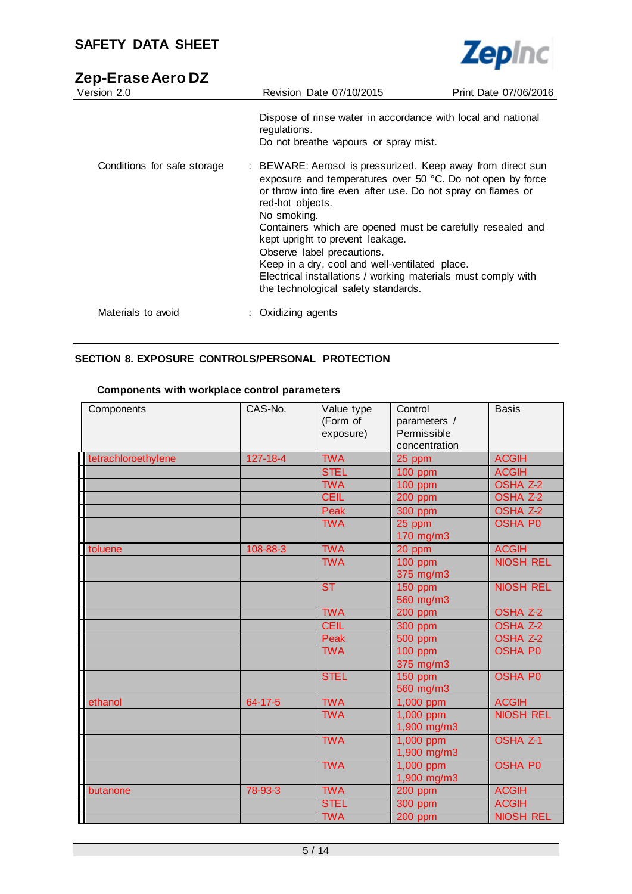

# **Zep-Erase Aero DZ**

| Version 2.0                 | Revision Date 07/10/2015                                                                                                                                                                                                                                                                                                                                                                                                                                                                                               | Print Date 07/06/2016 |
|-----------------------------|------------------------------------------------------------------------------------------------------------------------------------------------------------------------------------------------------------------------------------------------------------------------------------------------------------------------------------------------------------------------------------------------------------------------------------------------------------------------------------------------------------------------|-----------------------|
|                             | Dispose of rinse water in accordance with local and national<br>regulations.<br>Do not breathe vapours or spray mist.                                                                                                                                                                                                                                                                                                                                                                                                  |                       |
| Conditions for safe storage | : BEWARE: Aerosol is pressurized. Keep away from direct sun<br>exposure and temperatures over 50 °C. Do not open by force<br>or throw into fire even after use. Do not spray on flames or<br>red-hot objects.<br>No smoking.<br>Containers which are opened must be carefully resealed and<br>kept upright to prevent leakage.<br>Observe label precautions.<br>Keep in a dry, cool and well-ventilated place.<br>Electrical installations / working materials must comply with<br>the technological safety standards. |                       |
| Materials to avoid          | Oxidizing agents                                                                                                                                                                                                                                                                                                                                                                                                                                                                                                       |                       |

## **SECTION 8. EXPOSURE CONTROLS/PERSONAL PROTECTION**

## **Components with workplace control parameters**

| Components          | CAS-No.        | Value type<br>(Form of<br>exposure) | Control<br>parameters /<br>Permissible<br>concentration | <b>Basis</b>        |
|---------------------|----------------|-------------------------------------|---------------------------------------------------------|---------------------|
| tetrachloroethylene | $127 - 18 - 4$ | <b>TWA</b>                          | 25 ppm                                                  | <b>ACGIH</b>        |
|                     |                | <b>STEL</b>                         | <b>100 ppm</b>                                          | <b>ACGIH</b>        |
|                     |                | <b>TWA</b>                          | 100 ppm                                                 | OSHA <sub>Z-2</sub> |
|                     |                | <b>CEIL</b>                         | 200 ppm                                                 | <b>OSHA Z-2</b>     |
|                     |                | Peak                                | 300 ppm                                                 | <b>OSHA Z-2</b>     |
|                     |                | <b>TWA</b>                          | 25 ppm<br>170 mg/m3                                     | <b>OSHA P0</b>      |
| toluene             | 108-88-3       | <b>TWA</b>                          | 20 ppm                                                  | <b>ACGIH</b>        |
|                     |                | <b>TWA</b>                          | 100 ppm<br>375 mg/m3                                    | <b>NIOSH REL</b>    |
|                     |                | <b>ST</b>                           | 150 ppm<br>560 mg/m3                                    | <b>NIOSH REL</b>    |
|                     |                | <b>TWA</b>                          | <b>200 ppm</b>                                          | <b>OSHA Z-2</b>     |
|                     |                | <b>CEIL</b>                         | 300 ppm                                                 | OSHA <sub>Z-2</sub> |
|                     |                | Peak                                | 500 ppm                                                 | <b>OSHA Z-2</b>     |
|                     |                | <b>TWA</b>                          | <b>100 ppm</b><br>375 mg/m3                             | <b>OSHA P0</b>      |
|                     |                | <b>STEL</b>                         | <b>150 ppm</b><br>560 mg/m3                             | <b>OSHA P0</b>      |
| ethanol             | 64-17-5        | <b>TWA</b>                          | 1,000 ppm                                               | <b>ACGIH</b>        |
|                     |                | <b>TWA</b>                          | 1,000 ppm<br>1,900 mg/m3                                | <b>NIOSH REL</b>    |
|                     |                | <b>TWA</b>                          | 1,000 ppm<br>1,900 mg/m3                                | <b>OSHA Z-1</b>     |
|                     |                | <b>TWA</b>                          | 1,000 ppm<br>1,900 mg/m3                                | <b>OSHA P0</b>      |
| butanone            | 78-93-3        | <b>TWA</b>                          | 200 ppm                                                 | <b>ACGIH</b>        |
|                     |                | <b>STEL</b>                         | 300 ppm                                                 | <b>ACGIH</b>        |
|                     |                | <b>TWA</b>                          | 200 ppm                                                 | <b>NIOSH REL</b>    |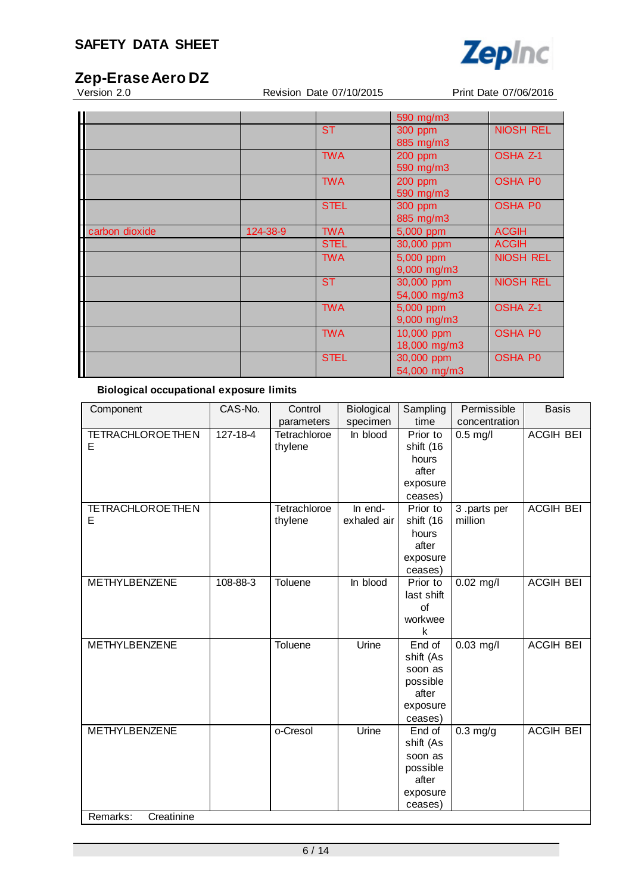

Revision Date 07/10/2015 Print Date 07/06/2016

|                |          |             | 590 mg/m3    |                  |
|----------------|----------|-------------|--------------|------------------|
|                |          | <b>ST</b>   | 300 ppm      | <b>NIOSH REL</b> |
|                |          |             | 885 mg/m3    |                  |
|                |          | <b>TWA</b>  | 200 ppm      | <b>OSHA Z-1</b>  |
|                |          |             | 590 mg/m3    |                  |
|                |          | <b>TWA</b>  | 200 ppm      | <b>OSHA P0</b>   |
|                |          |             | 590 mg/m3    |                  |
|                |          | <b>STEL</b> | 300 ppm      | <b>OSHA P0</b>   |
|                |          |             | 885 mg/m3    |                  |
| carbon dioxide | 124-38-9 | <b>TWA</b>  | 5,000 ppm    | <b>ACGIH</b>     |
|                |          | <b>STEL</b> | 30,000 ppm   | <b>ACGIH</b>     |
|                |          | <b>TWA</b>  | 5,000 ppm    | <b>NIOSH REL</b> |
|                |          |             | 9,000 mg/m3  |                  |
|                |          | <b>ST</b>   | 30,000 ppm   | <b>NIOSH REL</b> |
|                |          |             | 54,000 mg/m3 |                  |
|                |          | <b>TWA</b>  | 5,000 ppm    | <b>OSHA Z-1</b>  |
|                |          |             | 9,000 mg/m3  |                  |
|                |          | <b>TWA</b>  | 10,000 ppm   | <b>OSHA P0</b>   |
|                |          |             | 18,000 mg/m3 |                  |
|                |          | <b>STEL</b> | 30,000 ppm   | <b>OSHA P0</b>   |
|                |          |             | 54,000 mg/m3 |                  |

## **Biological occupational exposure limits**

| Component               | CAS-No.  | Control      | Biological  | Sampling   | Permissible   | <b>Basis</b>     |
|-------------------------|----------|--------------|-------------|------------|---------------|------------------|
|                         |          | parameters   | specimen    | time       | concentration |                  |
| <b>TETRACHLOROETHEN</b> | 127-18-4 | Tetrachloroe | In blood    | Prior to   | $0.5$ mg/l    | <b>ACGIH BEI</b> |
| E                       |          | thylene      |             | shift (16  |               |                  |
|                         |          |              |             | hours      |               |                  |
|                         |          |              |             | after      |               |                  |
|                         |          |              |             | exposure   |               |                  |
|                         |          |              |             | ceases)    |               |                  |
| <b>TETRACHLOROETHEN</b> |          | Tetrachloroe | In end-     | Prior to   | 3.parts per   | <b>ACGIH BEI</b> |
| E                       |          | thylene      | exhaled air | shift (16  | million       |                  |
|                         |          |              |             | hours      |               |                  |
|                         |          |              |             | after      |               |                  |
|                         |          |              |             | exposure   |               |                  |
|                         |          |              |             | ceases)    |               |                  |
| <b>METHYLBENZENE</b>    | 108-88-3 | Toluene      | In blood    | Prior to   | $0.02$ mg/l   | <b>ACGIH BEI</b> |
|                         |          |              |             | last shift |               |                  |
|                         |          |              |             | of         |               |                  |
|                         |          |              |             | workwee    |               |                  |
|                         |          |              |             | k          |               |                  |
| METHYLBENZENE           |          | Toluene      | Urine       | End of     | $0.03$ mg/l   | <b>ACGIH BEI</b> |
|                         |          |              |             | shift (As  |               |                  |
|                         |          |              |             | soon as    |               |                  |
|                         |          |              |             | possible   |               |                  |
|                         |          |              |             | after      |               |                  |
|                         |          |              |             | exposure   |               |                  |
|                         |          |              |             | ceases)    |               |                  |
| <b>METHYLBENZENE</b>    |          | o-Cresol     | Urine       | End of     | $0.3$ mg/g    | <b>ACGIH BEI</b> |
|                         |          |              |             | shift (As  |               |                  |
|                         |          |              |             | soon as    |               |                  |
|                         |          |              |             | possible   |               |                  |
|                         |          |              |             | after      |               |                  |
|                         |          |              |             | exposure   |               |                  |
|                         |          |              |             | ceases)    |               |                  |
| Remarks:<br>Creatinine  |          |              |             |            |               |                  |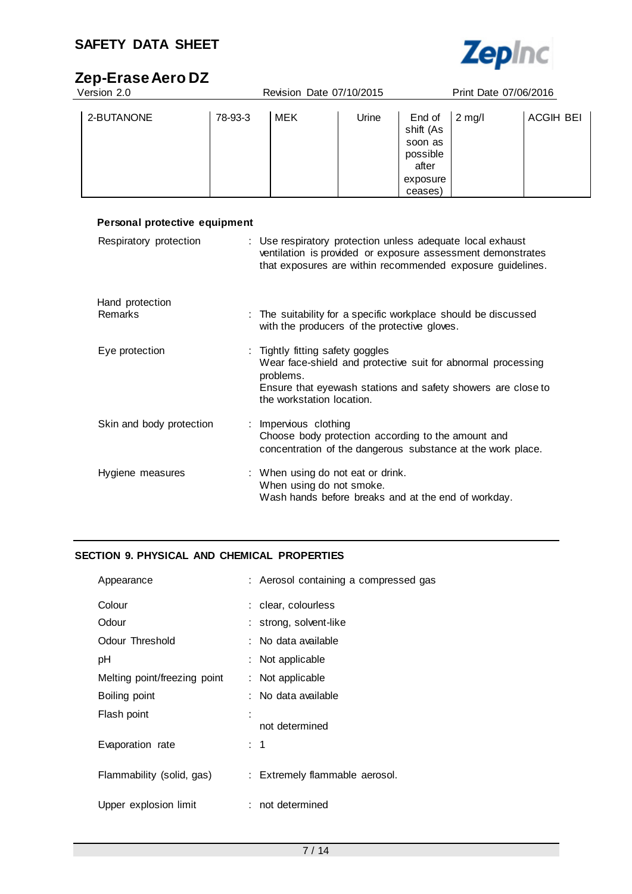

# **Zep-Erase Aero DZ**

| Version 2.0 |         | Revision Date 07/10/2015 |       |                                                                            | Print Date 07/06/2016 |                  |
|-------------|---------|--------------------------|-------|----------------------------------------------------------------------------|-----------------------|------------------|
| 2-BUTANONE  | 78-93-3 | MEK                      | Urine | End of<br>shift (As<br>soon as<br>possible<br>after<br>exposure<br>ceases) | $2 \text{ mg/l}$      | <b>ACGIH BEI</b> |

| Personal protective equipment |                                                                                                                                                                                                            |
|-------------------------------|------------------------------------------------------------------------------------------------------------------------------------------------------------------------------------------------------------|
| Respiratory protection        | : Use respiratory protection unless adequate local exhaust<br>ventilation is provided or exposure assessment demonstrates<br>that exposures are within recommended exposure guidelines.                    |
| Hand protection<br>Remarks    | : The suitability for a specific workplace should be discussed<br>with the producers of the protective gloves.                                                                                             |
| Eye protection                | : Tightly fitting safety goggles<br>Wear face-shield and protective suit for abnormal processing<br>problems.<br>Ensure that eyewash stations and safety showers are close to<br>the workstation location. |
| Skin and body protection      | : Impervious clothing<br>Choose body protection according to the amount and<br>concentration of the dangerous substance at the work place.                                                                 |
| Hygiene measures              | : When using do not eat or drink.<br>When using do not smoke.<br>Wash hands before breaks and at the end of workday.                                                                                       |

## **SECTION 9. PHYSICAL AND CHEMICAL PROPERTIES**

| Appearance                   | : Aerosol containing a compressed gas |
|------------------------------|---------------------------------------|
| Colour                       | : clear, colourless                   |
| Odour                        | : strong, solvent-like                |
| Odour Threshold              | : No data available                   |
| рH                           | $:$ Not applicable                    |
| Melting point/freezing point | : Not applicable                      |
| Boiling point                | No data available                     |
| Flash point                  | not determined                        |
| Evaporation rate             | : 1                                   |
| Flammability (solid, gas)    | : Extremely flammable aerosol.        |
| Upper explosion limit        | : not determined                      |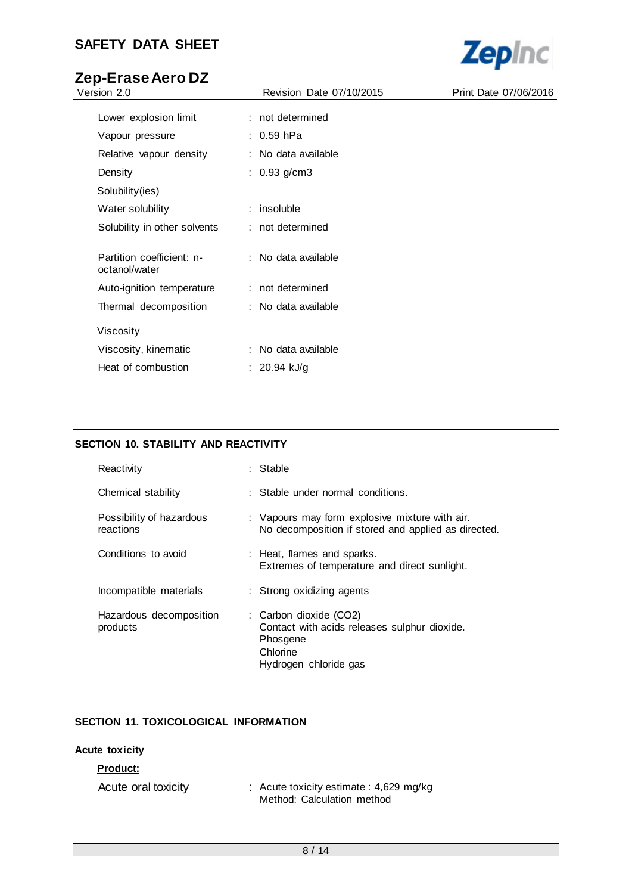# **Zep-Erase Aero DZ**

| Version 2.0                                | Revision Date 07/10/2015 | Print Date 07/06/2016 |
|--------------------------------------------|--------------------------|-----------------------|
| Lower explosion limit                      | : not determined         |                       |
| Vapour pressure                            | : 0.59 hPa               |                       |
| Relative vapour density                    | : No data available      |                       |
| Density                                    | : $0.93$ g/cm3           |                       |
| Solubility(ies)                            |                          |                       |
| Water solubility                           | $:$ insoluble            |                       |
| Solubility in other solvents               | : not determined         |                       |
| Partition coefficient: n-<br>octanol/water | : No data available      |                       |
| Auto-ignition temperature                  | : not determined         |                       |
| Thermal decomposition                      | : No data available      |                       |
| Viscosity                                  |                          |                       |
| Viscosity, kinematic                       | : No data available      |                       |
| Heat of combustion                         | : $20.94$ kJ/g           |                       |
|                                            |                          |                       |

## **SECTION 10. STABILITY AND REACTIVITY**

| Reactivity                            | : Stable                                                                                                                |
|---------------------------------------|-------------------------------------------------------------------------------------------------------------------------|
| Chemical stability                    | : Stable under normal conditions.                                                                                       |
| Possibility of hazardous<br>reactions | : Vapours may form explosive mixture with air.<br>No decomposition if stored and applied as directed.                   |
| Conditions to avoid                   | : Heat, flames and sparks.<br>Extremes of temperature and direct sunlight.                                              |
| Incompatible materials                | : Strong oxidizing agents                                                                                               |
| Hazardous decomposition<br>products   | : Carbon dioxide (CO2)<br>Contact with acids releases sulphur dioxide.<br>Phosgene<br>Chlorine<br>Hydrogen chloride gas |

### **SECTION 11. TOXICOLOGICAL INFORMATION**

## **Acute toxicity**

## **Product:** Acute oral toxicity : Acute toxicity estimate : 4,629 mg/kg Method: Calculation method

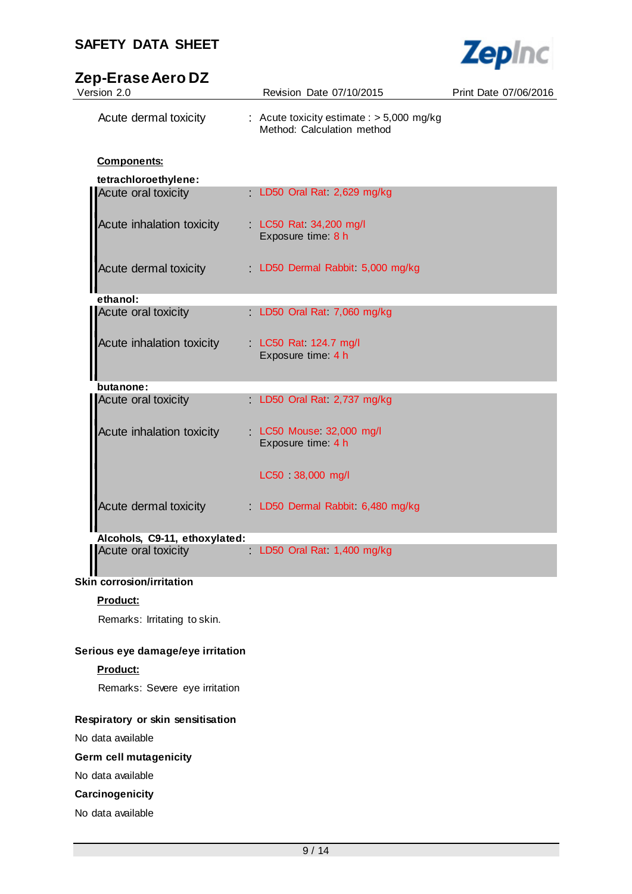

# **Zep-Erase Aero DZ**

| Version 2.0                      | Revision Date 07/10/2015                                                  | Print Date 07/06/2016 |
|----------------------------------|---------------------------------------------------------------------------|-----------------------|
| Acute dermal toxicity            | : Acute toxicity estimate : $> 5,000$ mg/kg<br>Method: Calculation method |                       |
| <b>Components:</b>               |                                                                           |                       |
| tetrachloroethylene:             |                                                                           |                       |
| Acute oral toxicity              | LD50 Oral Rat. 2,629 mg/kg                                                |                       |
| <b>Acute inhalation toxicity</b> | LC50 Rat 34,200 mg/l<br>Exposure time: 8 h                                |                       |
| Acute dermal toxicity            | LD50 Dermal Rabbit: 5,000 mg/kg                                           |                       |
| ethanol:                         |                                                                           |                       |
| Acute oral toxicity              | LD50 Oral Rat 7,060 mg/kg                                                 |                       |
| Acute inhalation toxicity        | LC50 Rat 124.7 mg/l<br>Exposure time: 4 h                                 |                       |
| butanone:                        |                                                                           |                       |
| Acute oral toxicity              | LD50 Oral Rat 2,737 mg/kg                                                 |                       |
| <b>Acute inhalation toxicity</b> | LC50 Mouse 32,000 mg/l<br>Exposure time: 4 h                              |                       |
|                                  | LC50 38,000 mg/l                                                          |                       |
| Acute dermal toxicity            | LD50 Dermal Rabbit. 6,480 mg/kg                                           |                       |
| Alcohols, C9-11, ethoxylated:    |                                                                           |                       |
| Acute oral toxicity              | LD50 Oral Rat. 1,400 mg/kg                                                |                       |

## **Skin corrosion/irritation**

## **Product:**

Remarks: Irritating to skin.

## **Serious eye damage/eye irritation**

### **Product:**

Remarks: Severe eye irritation

### **Respiratory or skin sensitisation**

No data available

## **Germ cell mutagenicity**

No data available

## **Carcinogenicity**

No data available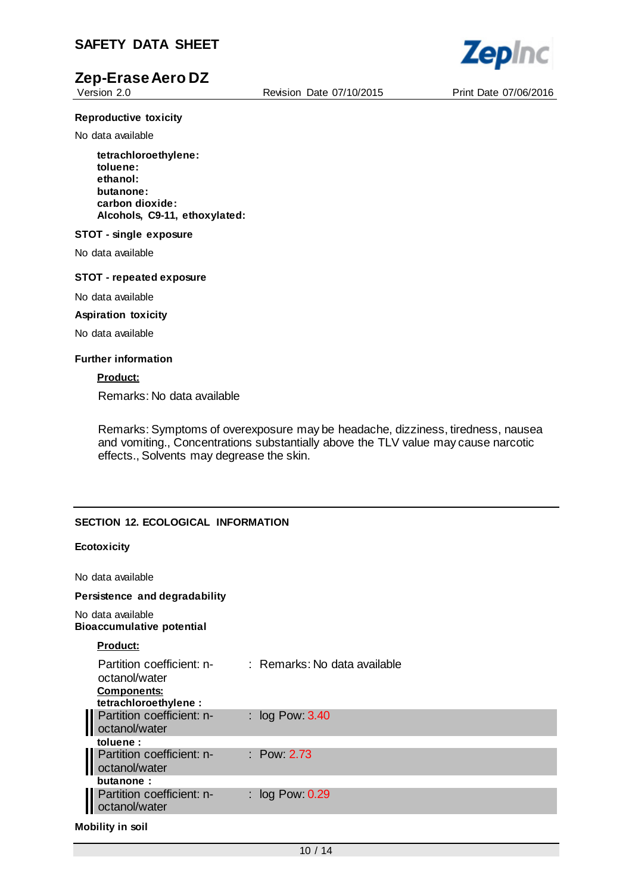

Version 2.0 Revision Date 07/10/2015 Print Date 07/06/2016

**Zepinc** 

#### **Reproductive toxicity**

No data available

**tetrachloroethylene: toluene: ethanol: butanone: carbon dioxide: Alcohols, C9-11, ethoxylated:**

#### **STOT - single exposure**

No data available

#### **STOT - repeated exposure**

No data available

#### **Aspiration toxicity**

No data available

#### **Further information**

#### **Product:**

Remarks: No data available

Remarks: Symptoms of overexposure may be headache, dizziness, tiredness, nausea and vomiting., Concentrations substantially above the TLV value may cause narcotic effects., Solvents may degrease the skin.

#### **SECTION 12. ECOLOGICAL INFORMATION**

#### **Ecotoxicity**

No data available

#### **Persistence and degradability**

No data available **Bioaccumulative potential**

#### **Product:**

| : Remarks: No data available |
|------------------------------|
| : $log Pow: 3.40$            |
|                              |
| $\therefore$ Pow 2.73        |
|                              |
| : $log Pow: 0.29$            |
|                              |

**Mobility in soil**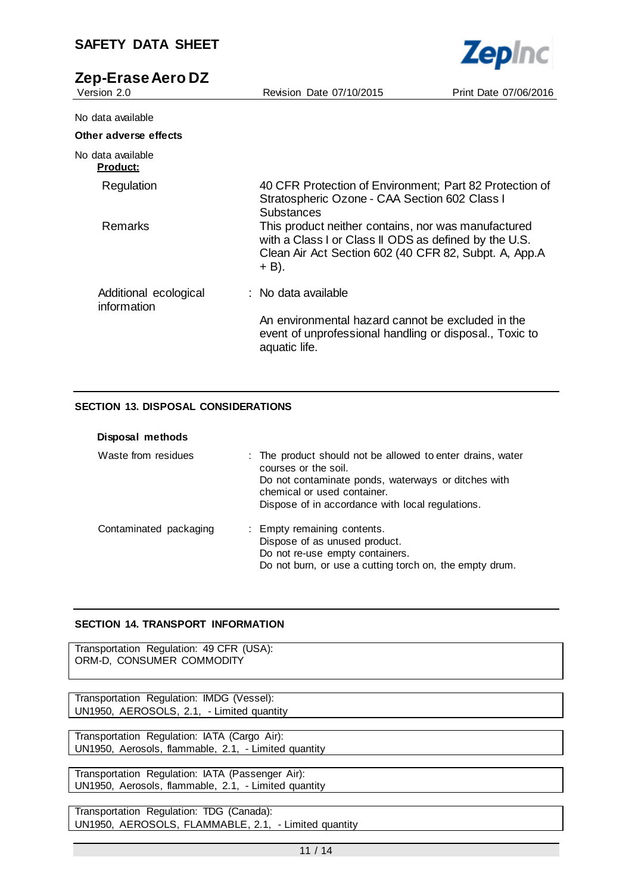| <b>SAFETY DATA SHEET</b>             |                                                                                                                                                                                | <b>Zepinc</b>         |
|--------------------------------------|--------------------------------------------------------------------------------------------------------------------------------------------------------------------------------|-----------------------|
| Zep-Erase Aero DZ<br>Version 2.0     | Revision Date 07/10/2015                                                                                                                                                       | Print Date 07/06/2016 |
| No data available                    |                                                                                                                                                                                |                       |
| Other adverse effects                |                                                                                                                                                                                |                       |
| No data available<br><u>Product:</u> |                                                                                                                                                                                |                       |
| Regulation                           | 40 CFR Protection of Environment; Part 82 Protection of<br>Stratospheric Ozone - CAA Section 602 Class I<br>Substances                                                         |                       |
| Remarks                              | This product neither contains, nor was manufactured<br>with a Class I or Class II ODS as defined by the U.S.<br>Clean Air Act Section 602 (40 CFR 82, Subpt. A, App.A<br>+ B). |                       |
| Additional ecological<br>information | : No data available                                                                                                                                                            |                       |
|                                      | An environmental hazard cannot be excluded in the<br>event of unprofessional handling or disposal., Toxic to<br>aquatic life.                                                  |                       |

## **SECTION 13. DISPOSAL CONSIDERATIONS**

| Disposal methods       |                                                                                                                                                                                                                              |
|------------------------|------------------------------------------------------------------------------------------------------------------------------------------------------------------------------------------------------------------------------|
| Waste from residues    | : The product should not be allowed to enter drains, water<br>courses or the soil.<br>Do not contaminate ponds, waterways or ditches with<br>chemical or used container.<br>Dispose of in accordance with local regulations. |
| Contaminated packaging | : Empty remaining contents.<br>Dispose of as unused product.<br>Do not re-use empty containers.<br>Do not burn, or use a cutting torch on, the empty drum.                                                                   |

## **SECTION 14. TRANSPORT INFORMATION**

Transportation Regulation: 49 CFR (USA): ORM-D, CONSUMER COMMODITY

Transportation Regulation: IMDG (Vessel): UN1950, AEROSOLS, 2.1, - Limited quantity

Transportation Regulation: IATA (Cargo Air): UN1950, Aerosols, flammable, 2.1, - Limited quantity

Transportation Regulation: IATA (Passenger Air): UN1950, Aerosols, flammable, 2.1, - Limited quantity

Transportation Regulation: TDG (Canada): UN1950, AEROSOLS, FLAMMABLE, 2.1, - Limited quantity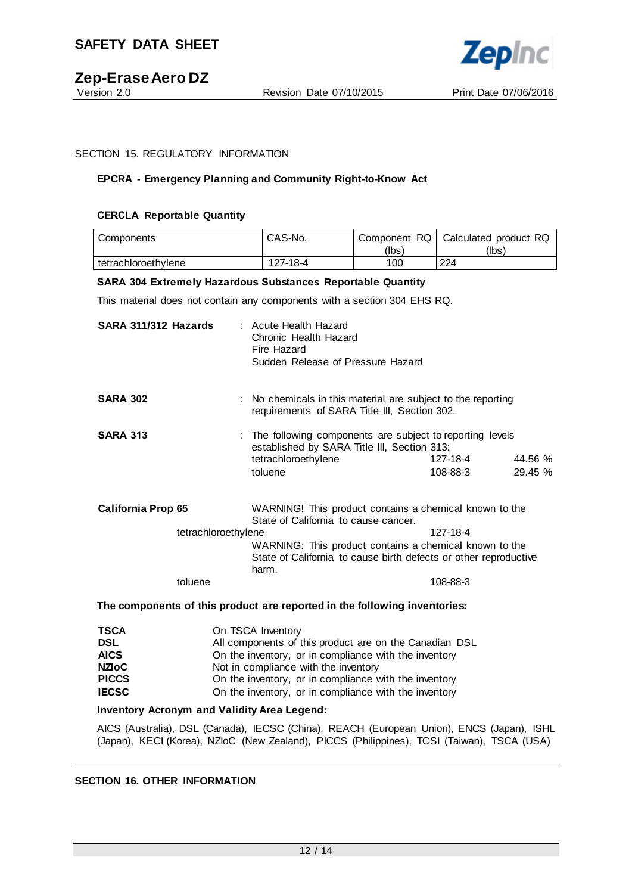

#### SECTION 15. REGULATORY INFORMATION

#### **EPCRA - Emergency Planning and Community Right-to-Know Act**

#### **CERCLA Reportable Quantity**

| Components          | CAS-No.  | Component RQ | Calculated product RQ |
|---------------------|----------|--------------|-----------------------|
|                     |          | (Ibs`        | (Ibs)                 |
| tetrachloroethvlene | 127-18-4 | 100          | 224                   |

#### **SARA 304 Extremely Hazardous Substances Reportable Quantity**

This material does not contain any components with a section 304 EHS RQ.

| SARA 311/312 Hazards      |                     | : Acute Health Hazard<br>Chronic Health Hazard<br>Fire Hazard<br>Sudden Release of Pressure Hazard                                                                                                                                                |                      |                   |
|---------------------------|---------------------|---------------------------------------------------------------------------------------------------------------------------------------------------------------------------------------------------------------------------------------------------|----------------------|-------------------|
| <b>SARA 302</b>           |                     | : No chemicals in this material are subject to the reporting<br>requirements of SARA Title III, Section 302.                                                                                                                                      |                      |                   |
| <b>SARA 313</b>           |                     | : The following components are subject to reporting levels<br>established by SARA Title III, Section 313:<br>tetrachloroethylene<br>toluene                                                                                                       | 127-18-4<br>108-88-3 | 44.56 %<br>29.45% |
| <b>California Prop 65</b> | tetrachloroethylene | WARNING! This product contains a chemical known to the<br>State of California to cause cancer.<br>127-18-4<br>WARNING: This product contains a chemical known to the<br>State of California to cause birth defects or other reproductive<br>harm. |                      |                   |
|                           | toluene             |                                                                                                                                                                                                                                                   | 108-88-3             |                   |

#### **The components of this product are reported in the following inventories:**

| <b>TSCA</b>  | On TSCA Inventory                                      |
|--------------|--------------------------------------------------------|
| <b>DSL</b>   | All components of this product are on the Canadian DSL |
| <b>AICS</b>  | On the inventory, or in compliance with the inventory  |
| <b>NZIOC</b> | Not in compliance with the inventory                   |
| <b>PICCS</b> | On the inventory, or in compliance with the inventory  |
| <b>IECSC</b> | On the inventory, or in compliance with the inventory  |

#### **Inventory Acronym and Validity Area Legend:**

AICS (Australia), DSL (Canada), IECSC (China), REACH (European Union), ENCS (Japan), ISHL (Japan), KECI (Korea), NZIoC (New Zealand), PICCS (Philippines), TCSI (Taiwan), TSCA (USA)

#### **SECTION 16. OTHER INFORMATION**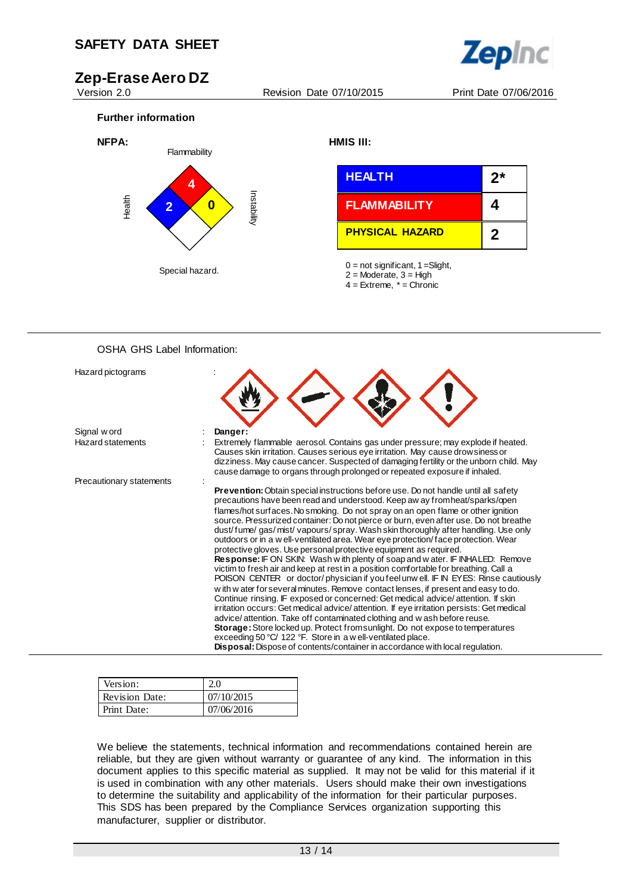

Version 2.0 Revision Date 07/10/2015 Print Date 07/06/2016





### OSHA GHS Label Information:

| Hazard pictograms        |                                                                                                                                                                                                                                                                                                                                                                                                                                                                                                                                                                                                                                                                                                                                                                                                                                                                                                                                                                                                                                                                                                                                                                                                                                                                                                                                                                                                                                                           |
|--------------------------|-----------------------------------------------------------------------------------------------------------------------------------------------------------------------------------------------------------------------------------------------------------------------------------------------------------------------------------------------------------------------------------------------------------------------------------------------------------------------------------------------------------------------------------------------------------------------------------------------------------------------------------------------------------------------------------------------------------------------------------------------------------------------------------------------------------------------------------------------------------------------------------------------------------------------------------------------------------------------------------------------------------------------------------------------------------------------------------------------------------------------------------------------------------------------------------------------------------------------------------------------------------------------------------------------------------------------------------------------------------------------------------------------------------------------------------------------------------|
| Signal w ord             | Danger:                                                                                                                                                                                                                                                                                                                                                                                                                                                                                                                                                                                                                                                                                                                                                                                                                                                                                                                                                                                                                                                                                                                                                                                                                                                                                                                                                                                                                                                   |
| Hazard statements        | Extremely flammable aerosol. Contains gas under pressure; may explode if heated.<br>Causes skin irritation. Causes serious eye irritation. May cause drowsiness or<br>dizziness. May cause cancer. Suspected of damaging fertility or the unborn child. May<br>cause damage to organs through prolonged or repeated exposure if inhaled.                                                                                                                                                                                                                                                                                                                                                                                                                                                                                                                                                                                                                                                                                                                                                                                                                                                                                                                                                                                                                                                                                                                  |
| Precautionary statements | <b>Prevention:</b> Obtain special instructions before use. Do not handle until all safety<br>precautions have been read and understood. Keep aw ay fromheat/sparks/open<br>flames/hot surfaces. No smoking. Do not spray on an open flame or other ignition<br>source. Pressurized container: Do not pierce or burn, even after use. Do not breathe<br>dust/fume/gas/mist/vapours/spray. Wash skin thoroughly after handling. Use only<br>outdoors or in a w ell-ventilated area. Wear eye protection/face protection. Wear<br>protective gloves. Use personal protective equipment as required.<br>Response: IF ON SKIN: Wash with plenty of soap and water. IF INHALED: Remove<br>victim to fresh air and keep at rest in a position comfortable for breathing. Call a<br>POISON CENTER or doctor/physician if you feel unw ell. IF IN EYES: Rinse cautiously<br>with w ater for several minutes. Remove contact lenses, if present and easy to do.<br>Continue rinsing. IF exposed or concerned: Get medical advice/attention. If skin<br>irritation occurs: Get medical advice/attention. If eye irritation persists: Get medical<br>advice/attention. Take off contaminated clothing and w ash before reuse.<br>Storage: Store locked up. Protect from sunlight. Do not expose to temperatures<br>exceeding 50 °C/ 122 °F. Store in a w ell-ventilated place.<br><b>Disposal:</b> Dispose of contents/container in accordance with local regulation. |

| Version:              |            |
|-----------------------|------------|
| <b>Revision Date:</b> | 07/10/2015 |
| Print Date:           | 07/06/2016 |

We believe the statements, technical information and recommendations contained herein are reliable, but they are given without warranty or guarantee of any kind. The information in this document applies to this specific material as supplied. It may not be valid for this material if it is used in combination with any other materials. Users should make their own investigations to determine the suitability and applicability of the information for their particular purposes. This SDS has been prepared by the Compliance Services organization supporting this manufacturer, supplier or distributor.